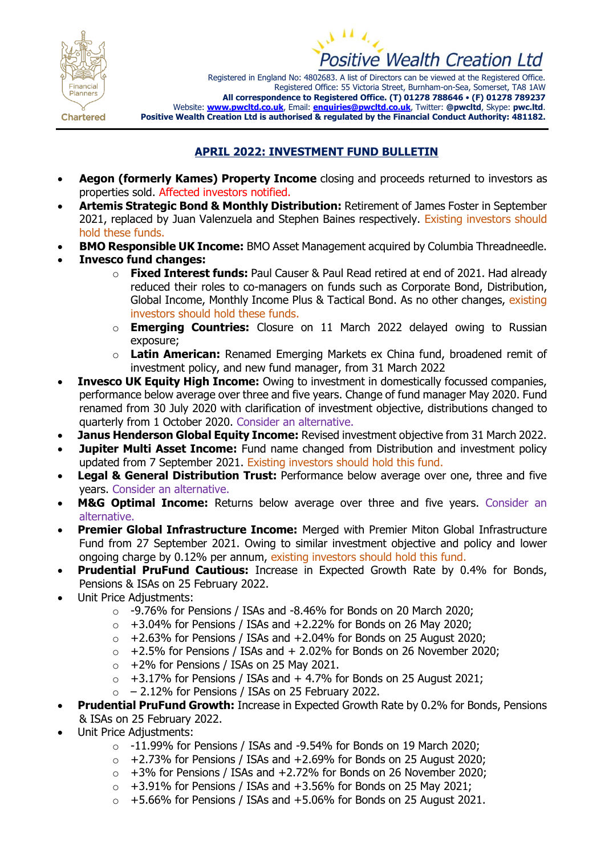



Registered in England No: 4802683. A list of Directors can be viewed at the Registered Office. Registered Office: 55 Victoria Street, Burnham-on-Sea, Somerset, TA8 1AW **All correspondence to Registered Office. (T) 01278 788646** • **(F) 01278 789237** Website: **[www.pwcltd.co.uk](http://www.pwcltd.co.uk/)**, Email: **[enquiries@pwcltd.co.uk](mailto:enquiries@pwcltd.co.uk)**, Twitter: **@pwcltd**, Skype: **pwc.ltd**. **Positive Wealth Creation Ltd is authorised & regulated by the Financial Conduct Authority: 481182.**

**Chartered** 

## **APRIL 2022: INVESTMENT FUND BULLETIN**

- **Aegon (formerly Kames) Property Income** closing and proceeds returned to investors as properties sold. Affected investors notified.
- **Artemis Strategic Bond & Monthly Distribution:** Retirement of James Foster in September 2021, replaced by Juan Valenzuela and Stephen Baines respectively. Existing investors should hold these funds.
- **BMO Responsible UK Income:** BMO Asset Management acquired by Columbia Threadneedle.
- **Invesco fund changes:**
	- o **Fixed Interest funds:** Paul Causer & Paul Read retired at end of 2021. Had already reduced their roles to co-managers on funds such as Corporate Bond, Distribution, Global Income, Monthly Income Plus & Tactical Bond. As no other changes, existing investors should hold these funds.
	- o **Emerging Countries:** Closure on 11 March 2022 delayed owing to Russian exposure;
	- o **Latin American:** Renamed Emerging Markets ex China fund, broadened remit of investment policy, and new fund manager, from 31 March 2022
- **Invesco UK Equity High Income:** Owing to investment in domestically focussed companies, performance below average over three and five years. Change of fund manager May 2020. Fund renamed from 30 July 2020 with clarification of investment objective, distributions changed to quarterly from 1 October 2020. Consider an alternative.
- **Janus Henderson Global Equity Income:** Revised investment objective from 31 March 2022.
- **Jupiter Multi Asset Income:** Fund name changed from Distribution and investment policy updated from 7 September 2021. Existing investors should hold this fund.
- **Legal & General Distribution Trust:** Performance below average over one, three and five years. Consider an alternative.
- **M&G Optimal Income:** Returns below average over three and five years. Consider an alternative.
- **Premier Global Infrastructure Income:** Merged with Premier Miton Global Infrastructure Fund from 27 September 2021. Owing to similar investment objective and policy and lower ongoing charge by 0.12% per annum, existing investors should hold this fund.
- **Prudential PruFund Cautious:** Increase in Expected Growth Rate by 0.4% for Bonds, Pensions & ISAs on 25 February 2022.
- Unit Price Adjustments:
	- o -9.76% for Pensions / ISAs and -8.46% for Bonds on 20 March 2020;
	- $\circ$  +3.04% for Pensions / ISAs and +2.22% for Bonds on 26 May 2020;
	- $\circ$  +2.63% for Pensions / ISAs and +2.04% for Bonds on 25 August 2020;
	- $\circ$  +2.5% for Pensions / ISAs and + 2.02% for Bonds on 26 November 2020;
	- $\circ$  +2% for Pensions / ISAs on 25 May 2021.
	- $\circ$  +3.17% for Pensions / ISAs and + 4.7% for Bonds on 25 August 2021;
	- $\circ$  2.12% for Pensions / ISAs on 25 February 2022.
- **Prudential PruFund Growth:** Increase in Expected Growth Rate by 0.2% for Bonds, Pensions & ISAs on 25 February 2022.
- Unit Price Adjustments:
	- $\circ$  -11.99% for Pensions / ISAs and -9.54% for Bonds on 19 March 2020;
	- $\circ$  +2.73% for Pensions / ISAs and +2.69% for Bonds on 25 August 2020;
	- $\circ$  +3% for Pensions / ISAs and +2.72% for Bonds on 26 November 2020;
	- $\circ$  +3.91% for Pensions / ISAs and +3.56% for Bonds on 25 May 2021;
	- $\circ$  +5.66% for Pensions / ISAs and +5.06% for Bonds on 25 August 2021.